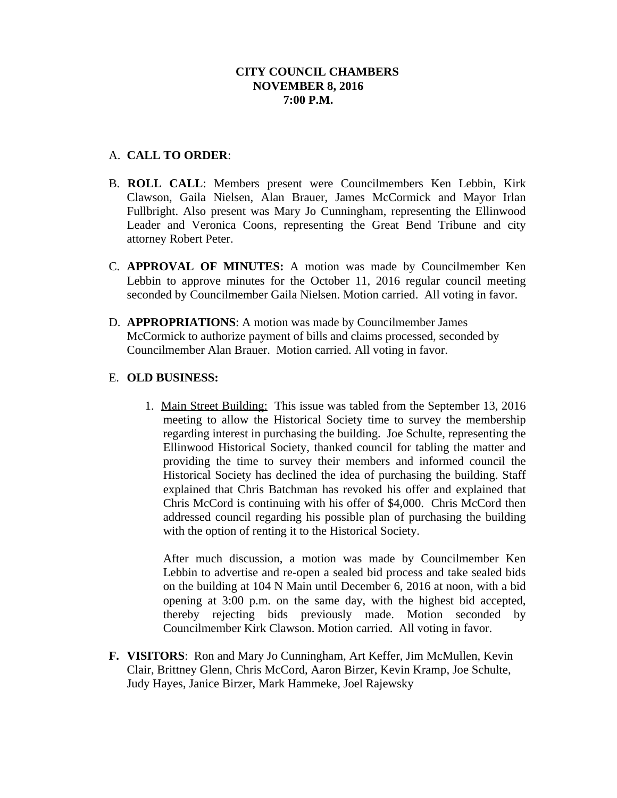### **CITY COUNCIL CHAMBERS NOVEMBER 8, 2016 7:00 P.M.**

## A. **CALL TO ORDER**:

- B. **ROLL CALL**: Members present were Councilmembers Ken Lebbin, Kirk Clawson, Gaila Nielsen, Alan Brauer, James McCormick and Mayor Irlan Fullbright. Also present was Mary Jo Cunningham, representing the Ellinwood Leader and Veronica Coons, representing the Great Bend Tribune and city attorney Robert Peter.
- C. **APPROVAL OF MINUTES:** A motion was made by Councilmember Ken Lebbin to approve minutes for the October 11, 2016 regular council meeting seconded by Councilmember Gaila Nielsen. Motion carried. All voting in favor.
- D. **APPROPRIATIONS**: A motion was made by Councilmember James McCormick to authorize payment of bills and claims processed, seconded by Councilmember Alan Brauer. Motion carried. All voting in favor.

### E. **OLD BUSINESS:**

1. Main Street Building: This issue was tabled from the September 13, 2016 meeting to allow the Historical Society time to survey the membership regarding interest in purchasing the building. Joe Schulte, representing the Ellinwood Historical Society, thanked council for tabling the matter and providing the time to survey their members and informed council the Historical Society has declined the idea of purchasing the building. Staff explained that Chris Batchman has revoked his offer and explained that Chris McCord is continuing with his offer of \$4,000. Chris McCord then addressed council regarding his possible plan of purchasing the building with the option of renting it to the Historical Society.

After much discussion, a motion was made by Councilmember Ken Lebbin to advertise and re-open a sealed bid process and take sealed bids on the building at 104 N Main until December 6, 2016 at noon, with a bid opening at 3:00 p.m. on the same day, with the highest bid accepted, thereby rejecting bids previously made. Motion seconded by Councilmember Kirk Clawson. Motion carried. All voting in favor.

**F. VISITORS**: Ron and Mary Jo Cunningham, Art Keffer, Jim McMullen, Kevin Clair, Brittney Glenn, Chris McCord, Aaron Birzer, Kevin Kramp, Joe Schulte, Judy Hayes, Janice Birzer, Mark Hammeke, Joel Rajewsky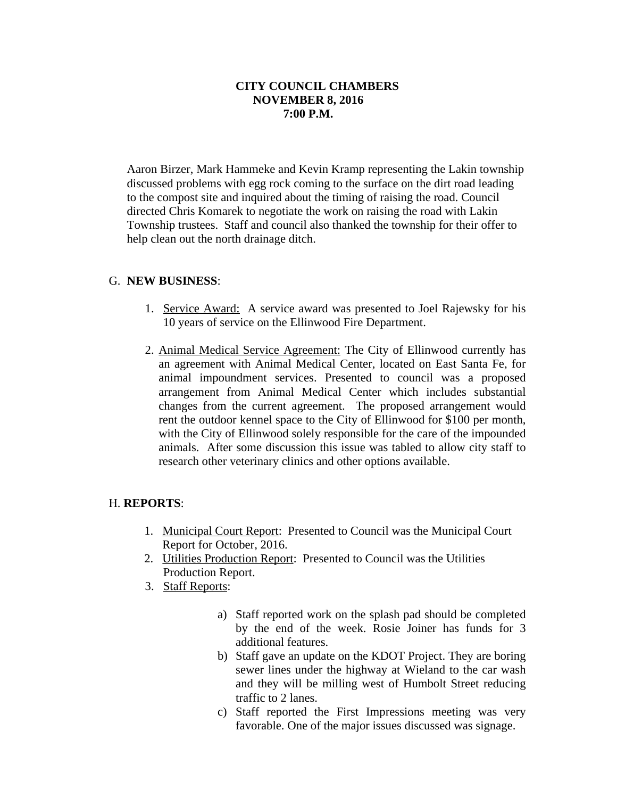## **CITY COUNCIL CHAMBERS NOVEMBER 8, 2016 7:00 P.M.**

Aaron Birzer, Mark Hammeke and Kevin Kramp representing the Lakin township discussed problems with egg rock coming to the surface on the dirt road leading to the compost site and inquired about the timing of raising the road. Council directed Chris Komarek to negotiate the work on raising the road with Lakin Township trustees. Staff and council also thanked the township for their offer to help clean out the north drainage ditch.

### G. **NEW BUSINESS**:

- 1. Service Award: A service award was presented to Joel Rajewsky for his 10 years of service on the Ellinwood Fire Department.
- 2. Animal Medical Service Agreement: The City of Ellinwood currently has an agreement with Animal Medical Center, located on East Santa Fe, for animal impoundment services. Presented to council was a proposed arrangement from Animal Medical Center which includes substantial changes from the current agreement. The proposed arrangement would rent the outdoor kennel space to the City of Ellinwood for \$100 per month, with the City of Ellinwood solely responsible for the care of the impounded animals. After some discussion this issue was tabled to allow city staff to research other veterinary clinics and other options available.

### H. **REPORTS**:

- 1. Municipal Court Report: Presented to Council was the Municipal Court Report for October, 2016.
- 2. Utilities Production Report: Presented to Council was the Utilities Production Report.
- 3. Staff Reports:
	- a) Staff reported work on the splash pad should be completed by the end of the week. Rosie Joiner has funds for 3 additional features.
	- b) Staff gave an update on the KDOT Project. They are boring sewer lines under the highway at Wieland to the car wash and they will be milling west of Humbolt Street reducing traffic to 2 lanes.
	- c) Staff reported the First Impressions meeting was very favorable. One of the major issues discussed was signage.